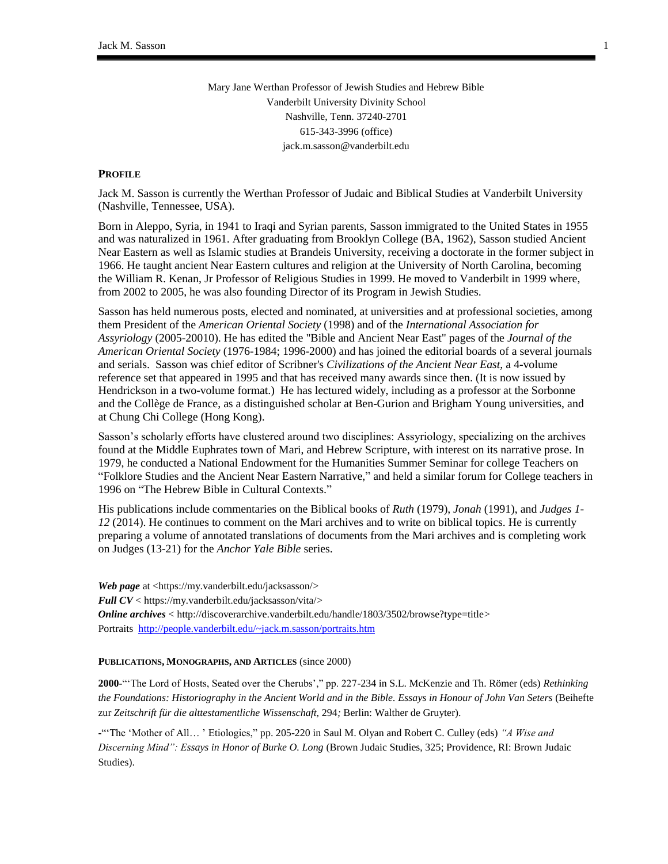Mary Jane Werthan Professor of Jewish Studies and Hebrew Bible Vanderbilt University Divinity School Nashville, Tenn. 37240-2701 615-343-3996 (office) jack.m.sasson@vanderbilt.edu

## **PROFILE**

Jack M. Sasson is currently the Werthan Professor of Judaic and Biblical Studies at Vanderbilt University (Nashville, Tennessee, USA).

Born in Aleppo, Syria, in 1941 to Iraqi and Syrian parents, Sasson immigrated to the United States in 1955 and was naturalized in 1961. After graduating from Brooklyn College (BA, 1962), Sasson studied Ancient Near Eastern as well as Islamic studies at Brandeis University, receiving a doctorate in the former subject in 1966. He taught ancient Near Eastern cultures and religion at the University of North Carolina, becoming the William R. Kenan, Jr Professor of Religious Studies in 1999. He moved to Vanderbilt in 1999 where, from 2002 to 2005, he was also founding Director of its Program in Jewish Studies.

Sasson has held numerous posts, elected and nominated, at universities and at professional societies, among them President of the *American Oriental Society* (1998) and of the *International Association for Assyriology* (2005-20010). He has edited the "Bible and Ancient Near East" pages of the *Journal of the American Oriental Society* (1976-1984; 1996-2000) and has joined the editorial boards of a several journals and serials. Sasson was chief editor of Scribner's *Civilizations of the Ancient Near East*, a 4-volume reference set that appeared in 1995 and that has received many awards since then. (It is now issued by Hendrickson in a two-volume format.) He has lectured widely, including as a professor at the Sorbonne and the Collège de France, as a distinguished scholar at Ben-Gurion and Brigham Young universities, and at Chung Chi College (Hong Kong).

Sasson's scholarly efforts have clustered around two disciplines: Assyriology, specializing on the archives found at the Middle Euphrates town of Mari, and Hebrew Scripture, with interest on its narrative prose. In 1979, he conducted a National Endowment for the Humanities Summer Seminar for college Teachers on "Folklore Studies and the Ancient Near Eastern Narrative," and held a similar forum for College teachers in 1996 on "The Hebrew Bible in Cultural Contexts."

His publications include commentaries on the Biblical books of *Ruth* (1979), *Jonah* (1991), and *Judges 1- 12* (2014). He continues to comment on the Mari archives and to write on biblical topics. He is currently preparing a volume of annotated translations of documents from the Mari archives and is completing work on Judges (13-21) for the *Anchor Yale Bible* series.

Web page at <https://my.vanderbilt.edu/jacksasson/> *Full CV* < https://my.vanderbilt.edu/jacksasson/vita/> *Online archives* < http://discoverarchive.vanderbilt.edu/handle/1803/3502/browse?type=title> Portraits <http://people.vanderbilt.edu/~jack.m.sasson/portraits.htm>

## **PUBLICATIONS, MONOGRAPHS, AND ARTICLES** (since 2000)

**2000-**"'The Lord of Hosts, Seated over the Cherubs'," pp. 227-234 in S.L. McKenzie and Th. Römer (eds) *Rethinking the Foundations: Historiography in the Ancient World and in the Bible. Essays in Honour of John Van Seters* (Beihefte zur *Zeitschrift für die alttestamentliche Wissenschaft,* 294*;* Berlin: Walther de Gruyter).

**-**"'The 'Mother of All… ' Etiologies," pp. 205-220 in Saul M. Olyan and Robert C. Culley (eds) *"A Wise and Discerning Mind": Essays in Honor of Burke O. Long* (Brown Judaic Studies, 325; Providence, RI: Brown Judaic Studies).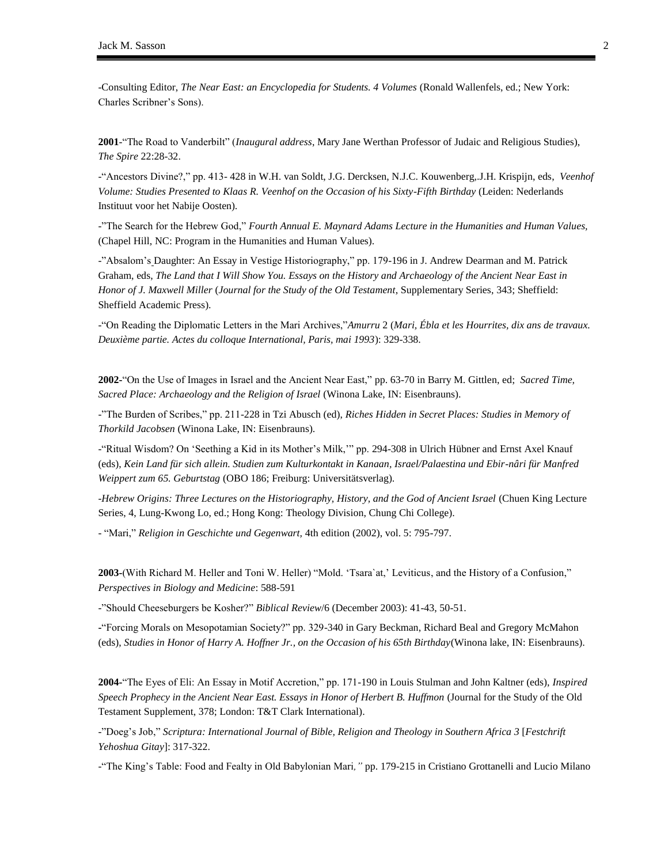-Consulting Editor, *The Near East: an Encyclopedia for Students. 4 Volumes* (Ronald Wallenfels, ed.; New York: Charles Scribner's Sons).

**2001***-*"The Road to Vanderbilt" (*Inaugural address*, Mary Jane Werthan Professor of Judaic and Religious Studies), *The Spire* 22:28-32.

-"Ancestors Divine?," pp. 413- 428 in W.H. van Soldt, J.G. Dercksen, N.J.C. Kouwenberg,.J.H. Krispijn, eds, *Veenhof Volume: Studies Presented to Klaas R. Veenhof on the Occasion of his Sixty-Fifth Birthday* (Leiden: Nederlands Instituut voor het Nabije Oosten).

-"The Search for the Hebrew God," *Fourth Annual E. Maynard Adams Lecture in the Humanities and Human Values,* (Chapel Hill, NC: Program in the Humanities and Human Values).

-"Absalom's Daughter: An Essay in Vestige Historiography," pp. 179-196 in J. Andrew Dearman and M. Patrick Graham, eds, *The Land that I Will Show You. Essays on the History and Archaeology of the Ancient Near East in Honor of J. Maxwell Miller* (*Journal for the Study of the Old Testament*, Supplementary Series, 343; Sheffield: Sheffield Academic Press).

-"On Reading the Diplomatic Letters in the Mari Archives,"*Amurru* 2 (*Mari, Ébla et les Hourrites, dix ans de travaux. Deuxième partie. Actes du colloque International, Paris, mai 1993*): 329-338.

**2002-**"On the Use of Images in Israel and the Ancient Near East," pp. 63-70 in Barry M. Gittlen, ed; *Sacred Time, Sacred Place: Archaeology and the Religion of Israel* (Winona Lake, IN: Eisenbrauns).

-"The Burden of Scribes," pp. 211-228 in Tzi Abusch (ed), *Riches Hidden in Secret Places: Studies in Memory of Thorkild Jacobsen* (Winona Lake, IN: Eisenbrauns).

-"Ritual Wisdom? On 'Seething a Kid in its Mother's Milk,'" pp. 294-308 in Ulrich Hübner and Ernst Axel Knauf (eds), *Kein Land für sich allein. Studien zum Kulturkontakt in Kanaan, Israel/Palaestina und Ebir-nâri für Manfred Weippert zum 65. Geburtstag* (OBO 186; Freiburg: Universitätsverlag).

-*Hebrew Origins: Three Lectures on the Historiography, History, and the God of Ancient Israel* (Chuen King Lecture Series, 4, Lung-Kwong Lo, ed.; Hong Kong: Theology Division, Chung Chi College).

- "Mari," *Religion in Geschichte und Gegenwart,* 4th edition (2002), vol. 5: 795-797.

**2003-**(With Richard M. Heller and Toni W. Heller) "Mold. 'Tsara`at,' Leviticus, and the History of a Confusion," *Perspectives in Biology and Medicine*: 588-591

-"Should Cheeseburgers be Kosher?" *Biblical Review*/6 (December 2003): 41-43, 50-51.

**-**"Forcing Morals on Mesopotamian Society?" pp. 329-340 in Gary Beckman, Richard Beal and Gregory McMahon (eds), *Studies in Honor of Harry A. Hoffner Jr., on the Occasion of his 65th Birthday*(Winona lake, IN: Eisenbrauns).

**2004-**"The Eyes of Eli: An Essay in Motif Accretion," pp. 171-190 in Louis Stulman and John Kaltner (eds), *Inspired Speech Prophecy in the Ancient Near East. Essays in Honor of Herbert B. Huffmon* (Journal for the Study of the Old Testament Supplement, 378; London: T&T Clark International).

-"Doeg's Job," *Scriptura: International Journal of Bible, Religion and Theology in Southern Africa 3* [*Festchrift Yehoshua Gitay*]: 317-322.

-"The King's Table: Food and Fealty in Old Babylonian Mari*,"* pp. 179-215 in Cristiano Grottanelli and Lucio Milano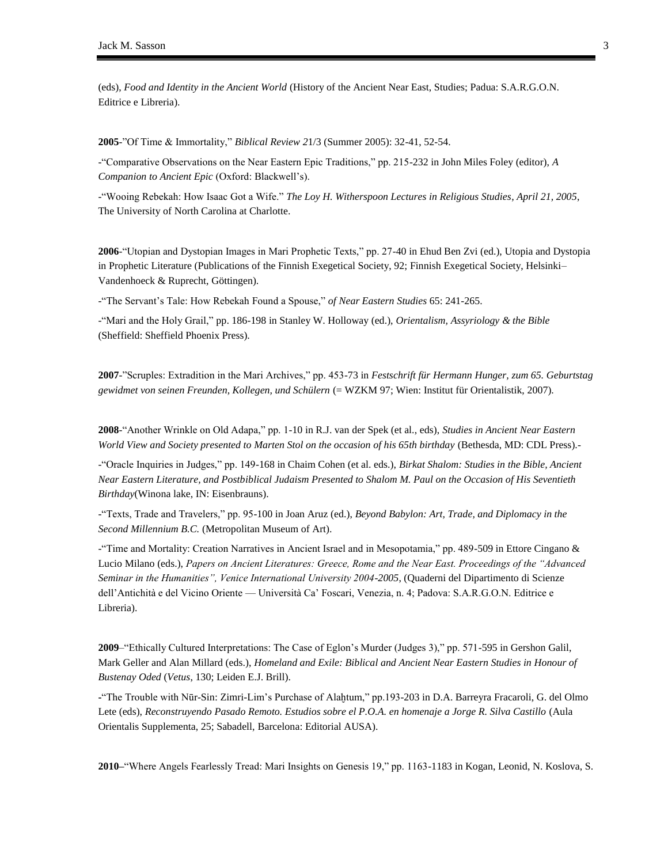(eds), *Food and Identity in the Ancient World* (History of the Ancient Near East, Studies; Padua: S.A.R.G.O.N. Editrice e Libreria).

**2005**-"Of Time & Immortality," *Biblical Review 2*1/3 (Summer 2005): 32-41, 52-54.

-"Comparative Observations on the Near Eastern Epic Traditions," pp. 215-232 in John Miles Foley (editor), *A Companion to Ancient Epic* (Oxford: Blackwell's).

-"Wooing Rebekah: How Isaac Got a Wife." *The Loy H. Witherspoon Lectures in Religious Studies*, *April 21, 2005*, The University of North Carolina at Charlotte.

**2006**-"Utopian and Dystopian Images in Mari Prophetic Texts," pp. 27-40 in Ehud Ben Zvi (ed.), Utopia and Dystopia in Prophetic Literature (Publications of the Finnish Exegetical Society, 92; Finnish Exegetical Society, Helsinki– Vandenhoeck & Ruprecht, Göttingen).

-"The Servant's Tale: How Rebekah Found a Spouse," *of Near Eastern Studies* 65: 241-265.

-"Mari and the Holy Grail," pp. 186-198 in Stanley W. Holloway (ed.), *Orientalism, Assyriology & the Bible* (Sheffield: Sheffield Phoenix Press).

**2007**-"Scruples: Extradition in the Mari Archives," pp. 453-73 in *Festschrift für Hermann Hunger, zum 65. Geburtstag gewidmet von seinen Freunden, Kollegen, und Schülern* (= WZKM 97; Wien: Institut für Orientalistik, 2007).

**2008**-"Another Wrinkle on Old Adapa," pp. 1-10 in R.J. van der Spek (et al., eds), *Studies in Ancient Near Eastern World View and Society presented to Marten Stol on the occasion of his 65th birthday* (Bethesda, MD: CDL Press).-

-"Oracle Inquiries in Judges," pp. 149-168 in Chaim Cohen (et al. eds.), *Birkat Shalom: Studies in the Bible, Ancient Near Eastern Literature, and Postbiblical Judaism Presented to Shalom M. Paul on the Occasion of His Seventieth Birthday*(Winona lake, IN: Eisenbrauns).

-"Texts, Trade and Travelers," pp. 95-100 in Joan Aruz (ed.), *Beyond Babylon: Art, Trade, and Diplomacy in the Second Millennium B.C.* (Metropolitan Museum of Art).

-"Time and Mortality: Creation Narratives in Ancient Israel and in Mesopotamia," pp. 489-509 in Ettore Cingano & Lucio Milano (eds.), *Papers on Ancient Literatures: Greece, Rome and the Near East. Proceedings of the "Advanced Seminar in the Humanities", Venice International University 2004-2005*, (Quaderni del Dipartimento di Scienze dell'Antichità e del Vicino Oriente — Università Ca' Foscari, Venezia, n. 4; Padova: S.A.R.G.O.N. Editrice e Libreria).

**2009**–"Ethically Cultured Interpretations: The Case of Eglon's Murder (Judges 3)," pp. 571-595 in Gershon Galil, Mark Geller and Alan Millard (eds.), *Homeland and Exile: Biblical and Ancient Near Eastern Studies in Honour of Bustenay Oded* (*Vetus*, 130; Leiden E.J. Brill).

**-**"The Trouble with Nūr-Sin: Zimri-Lim's Purchase of Alaḫtum," pp.193-203 in D.A. Barreyra Fracaroli, G. del Olmo Lete (eds), *Reconstruyendo Pasado Remoto. Estudios sobre el P.O.A. en homenaje a Jorge R. Silva Castillo* (Aula Orientalis Supplementa, 25; Sabadell, Barcelona: Editorial AUSA).

**2010–**"Where Angels Fearlessly Tread: Mari Insights on Genesis 19," pp. 1163-1183 in Kogan, Leonid, N. Koslova, S.